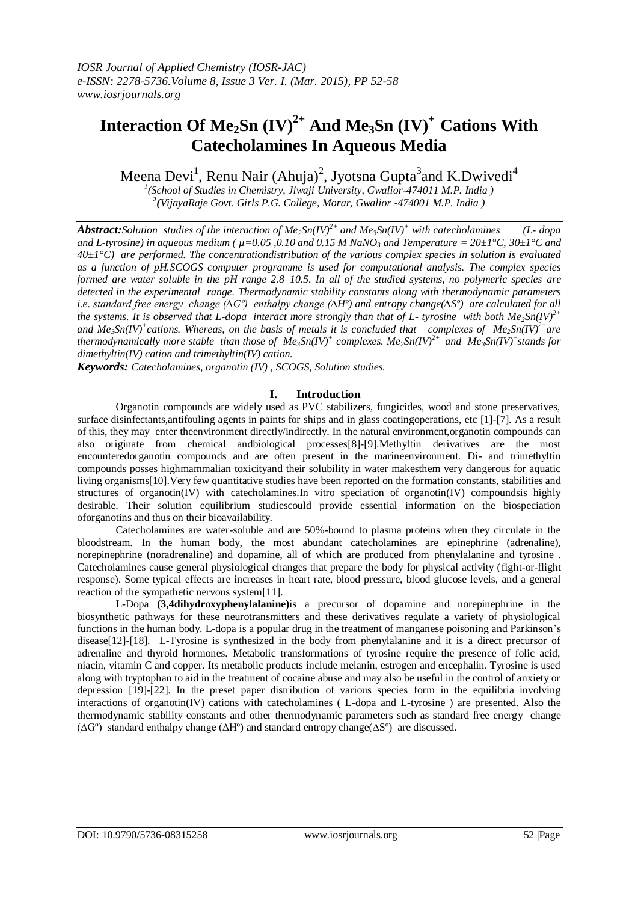# **Interaction Of Me2Sn (IV) 2+ And Me3Sn (IV) <sup>+</sup>Cations With Catecholamines In Aqueous Media**

Meena Devi<sup>1</sup>, Renu Nair (Ahuja)<sup>2</sup>, Jyotsna Gupta<sup>3</sup>and K.Dwivedi<sup>4</sup>

*1 (School of Studies in Chemistry, Jiwaji University, Gwalior-474011 M.P. India ) 2 (VijayaRaje Govt. Girls P.G. College, Morar, Gwalior -474001 M.P. India )*

*Abstract:Solution studies of the interaction of Me***<sub>2</sub>***Sn(IV)***<sup>2+</sup>** *and Me***<sub>3</sub>***Sn(IV)***<sup>+</sup>** *with catecholamines* **(***L-**dopa* and L-tyrosine) in aqueous medium ( $\mu$ =0.05, 0.10 and 0.15 M NaNO<sub>3</sub> and Temperature =  $20 \pm 1^{\circ}$ C,  $30 \pm 1^{\circ}$ C and *40±1°C) are performed. The concentrationdistribution of the various complex species in solution is evaluated as a function of pH.SCOGS computer programme is used for computational analysis. The complex species formed are water soluble in the pH range 2.8–10.5. In all of the studied systems, no polymeric species are detected in the experimental range. Thermodynamic stability constants along with thermodynamic parameters i.e. standard free energy change (∆Gº) enthalpy change (∆Hº) and entropy change(∆Sº) are calculated for all the systems. It is observed that L-dopa interact more strongly than that of L- tyrosine with both*  $Me_2Sn(IV)^{2+}$ and  $Me_3Sn(IV)^+$  cations. Whereas, on the basis of metals it is concluded that complexes of  $Me_2Sn(IV)^2$ <sup>+</sup> are *thermodynamically more stable than those of Me3Sn(IV)<sup>+</sup> complexes. Me2Sn(IV)2+ and Me3Sn(IV)<sup>+</sup> stands for dimethyltin(IV) cation and trimethyltin(IV) cation.*

*Keywords: Catecholamines, organotin (IV) , SCOGS, Solution studies.*

#### **I. Introduction**

Organotin compounds are widely used as PVC stabilizers, fungicides, wood and stone preservatives, surface disinfectants,antifouling agents in paints for ships and in glass coatingoperations, etc [1]-[7]. As a result of this, they may enter theenvironment directly/indirectly. In the natural environment,organotin compounds can also originate from chemical andbiological processes[8]-[9].Methyltin derivatives are the most encounteredorganotin compounds and are often present in the marineenvironment. Di- and trimethyltin compounds posses highmammalian toxicityand their solubility in water makesthem very dangerous for aquatic living organisms[10].Very few quantitative studies have been reported on the formation constants, stabilities and structures of organotin(IV) with catecholamines.In vitro speciation of organotin(IV) compoundsis highly desirable. Their solution equilibrium studiescould provide essential information on the biospeciation oforganotins and thus on their bioavailability.

Catecholamines are water-soluble and are 50%-bound to plasma proteins when they circulate in the bloodstream. In the [human body,](http://en.wikipedia.org/wiki/Human_body) the most abundant catecholamines are [epinephrine](http://en.wikipedia.org/wiki/Epinephrine) (adrenaline), [norepinephrine](http://en.wikipedia.org/wiki/Norepinephrine) (noradrenaline) and [dopamine,](http://en.wikipedia.org/wiki/Dopamine) all of which are produced from [phenylalanine](http://en.wikipedia.org/wiki/Phenylalanine) and tyrosine . Catecholamines cause general physiological changes that prepare the body for physical activity [\(fight-or-flight](http://en.wikipedia.org/wiki/Fight-or-flight_response)  [response\)](http://en.wikipedia.org/wiki/Fight-or-flight_response). Some typical effects are increases in [heart rate,](http://en.wikipedia.org/wiki/Heart_rate) [blood pressure,](http://en.wikipedia.org/wiki/Blood_pressure) [blood glucose](http://en.wikipedia.org/wiki/Blood_glucose) levels, and a general reaction of the [sympathetic nervous system\[](http://en.wikipedia.org/wiki/Sympathetic_nervous_system)11].

L-Dopa **(3,4dihydroxyphenylalanine)**is a precursor of dopamine and norepinephrine in the biosynthetic pathways for these neurotransmitters and these derivatives regulate a variety of physiological functions in the human body. L-dopa is a popular drug in the treatment of manganese poisoning and Parkinson's disease[12]-[18]. L-Tyrosine is synthesized in the body from phenylalanine and it is a direct precursor of adrenaline and thyroid hormones. Metabolic transformations of tyrosine require the presence of folic acid, niacin, vitamin C and copper. Its metabolic products include melanin, estrogen and encephalin. Tyrosine is used along with tryptophan to aid in the treatment of cocaine abuse and may also be useful in the control of anxiety or depression [19]-[22]. In the preset paper distribution of various species form in the equilibria involving interactions of organotin(IV) cations with catecholamines ( L-dopa and L-tyrosine ) are presented. Also the thermodynamic stability constants and other thermodynamic parameters such as standard free energy change (∆Gº) standard enthalpy change (∆Hº) and standard entropy change(∆Sº) are discussed.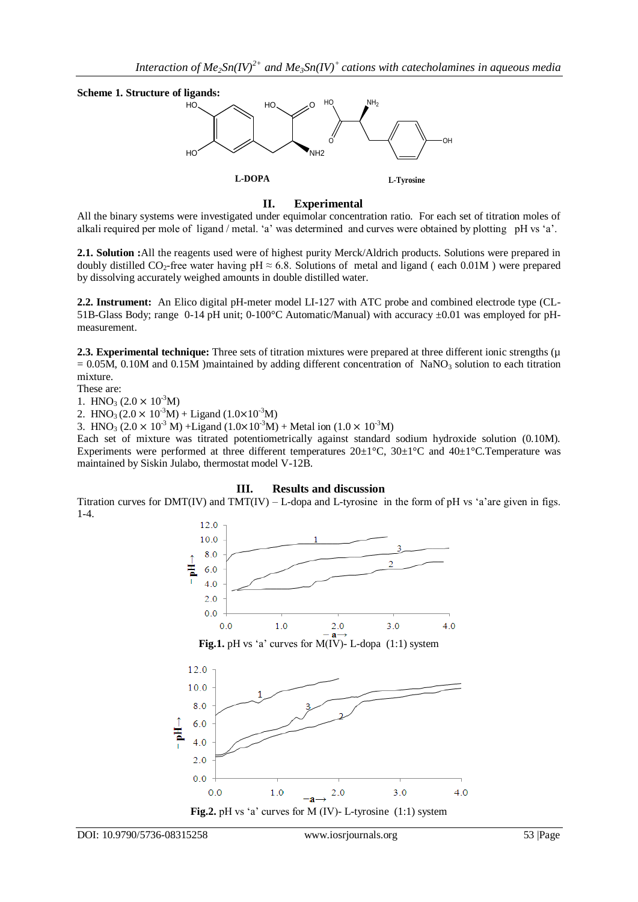

#### **II. Experimental**

All the binary systems were investigated under equimolar concentration ratio. For each set of titration moles of alkali required per mole of ligand / metal. 'a' was determined and curves were obtained by plotting pH vs 'a'.

**2.1. Solution :**All the reagents used were of highest purity Merck/Aldrich products. Solutions were prepared in doubly distilled  $CO_2$ -free water having pH  $\approx 6.8$ . Solutions of metal and ligand (each 0.01M) were prepared by dissolving accurately weighed amounts in double distilled water.

**2.2. Instrument:** An Elico digital pH-meter model LI-127 with ATC probe and combined electrode type (CL-51B-Glass Body; range 0-14 pH unit; 0-100°C Automatic/Manual) with accuracy ±0.01 was employed for pHmeasurement.

**2.3. Experimental technique:** Three sets of titration mixtures were prepared at three different ionic strengths (µ  $= 0.05M$ , 0.10M and 0.15M )maintained by adding different concentration of NaNO<sub>3</sub> solution to each titration mixture.

These are:

1. HNO<sub>3</sub>  $(2.0 \times 10^{-3} M)$ 

2. HNO<sub>3</sub> ( $2.0 \times 10^{-3}$ M) + Ligand ( $1.0 \times 10^{-3}$ M)

3. HNO<sub>3</sub> (2.0 × 10<sup>-3</sup> M) + Ligand (1.0×10<sup>-3</sup>M) + Metal ion (1.0 × 10<sup>-3</sup>M)

Each set of mixture was titrated potentiometrically against standard sodium hydroxide solution (0.10M). Experiments were performed at three different temperatures  $20\pm1^{\circ}$ C,  $30\pm1^{\circ}$ C and  $40\pm1^{\circ}$ C.Temperature was maintained by Siskin Julabo, thermostat model V-12B.

#### **III. Results and discussion**

Titration curves for  $DMT(V)$  and  $TMT(V) - L$ -dopa and L-tyrosine in the form of pH vs 'a'are given in figs. 1-4.

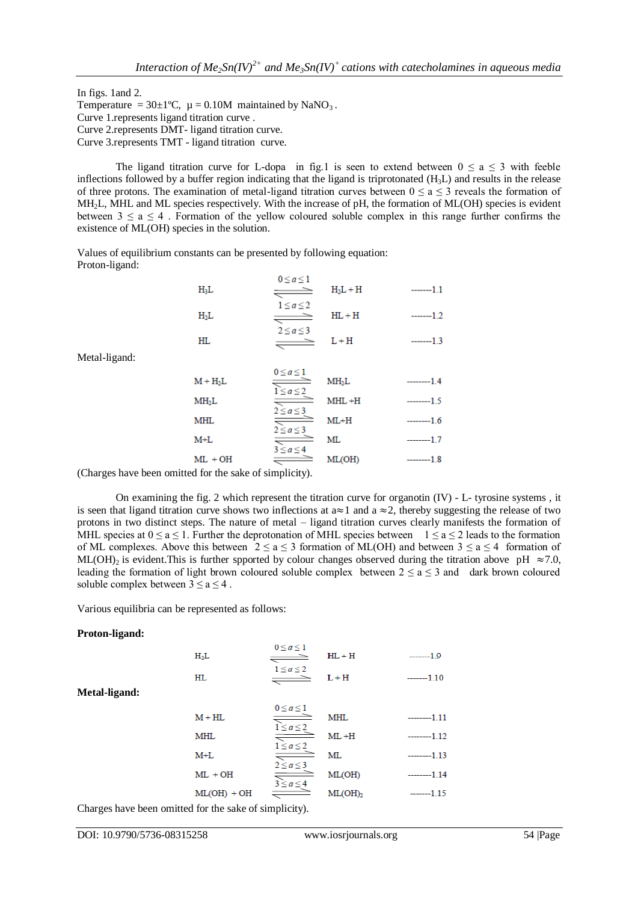In figs. 1and 2. Temperature =  $30 \pm 1$ °C,  $\mu$  = 0.10M maintained by NaNO<sub>3</sub>. Curve 1.represents ligand titration curve . Curve 2.represents DMT- ligand titration curve. Curve 3.represents TMT - ligand titration curve.

The ligand titration curve for L-dopa in fig.1 is seen to extend between  $0 \le a \le 3$  with feeble inflections followed by a buffer region indicating that the ligand is triprotonated  $(H<sub>3</sub>L)$  and results in the release of three protons. The examination of metal-ligand titration curves between  $0 \le a \le 3$  reveals the formation of MH2L, MHL and ML species respectively. With the increase of pH, the formation of ML(OH) species is evident between  $3 \le a \le 4$ . Formation of the yellow coloured soluble complex in this range further confirms the existence of ML(OH) species in the solution.

Values of equilibrium constants can be presented by following equation: Proton-ligand:

| $H_3L$ | $0 \leq a \leq 1$ | $H_2L + H$ | $-----11$ |
|--------|-------------------|------------|-----------|
| $H_2L$ | $1 \le a \le 2$   | $HL + H$   |           |
| HL     | $2 \leq a \leq 3$ | L+H        | -------   |

Metal-ligand:

| $M + H2L$         | $0 \leq a \leq 1$<br>$1 \leq a \leq 2$ | MH <sub>2</sub> L | $---14$       |
|-------------------|----------------------------------------|-------------------|---------------|
| MH <sub>2</sub> L |                                        | $MHL + H$         | ----------1.5 |
| MHL               | $2 \leq a \leq 3$                      | $ML+H$            | ---------1.6  |
| $M+L$             | $2 \le a \le 3$                        | ML                |               |
| $ML + OH$         | $3 \le a \le 4$                        | ML(OH)            |               |

(Charges have been omitted for the sake of simplicity).

On examining the fig. 2 which represent the titration curve for organotin (IV) - L- tyrosine systems , it is seen that ligand titration curve shows two inflections at  $a \approx 1$  and  $a \approx 2$ , thereby suggesting the release of two protons in two distinct steps. The nature of metal – ligand titration curves clearly manifests the formation of MHL species at  $0 \le a \le 1$ . Further the deprotonation of MHL species between  $1 \le a \le 2$  leads to the formation of ML complexes. Above this between  $2 \le a \le 3$  formation of ML(OH) and between  $3 \le a \le 4$  formation of ML(OH)<sub>2</sub> is evident. This is further spported by colour changes observed during the titration above pH  $\approx 7.0$ , leading the formation of light brown coloured soluble complex between  $2 \le a \le 3$  and dark brown coloured soluble complex between  $3 \le a \le 4$ .

Various equilibria can be represented as follows:

#### **Proton-ligand:**

**Metal-ligand:**

| $0 \leq a \leq 1$<br>↸ | $HL + H$                                                                                                               | $---1.9$    |
|------------------------|------------------------------------------------------------------------------------------------------------------------|-------------|
|                        | $L + H$                                                                                                                | $---1.10$   |
|                        |                                                                                                                        |             |
|                        | <b>MHL</b>                                                                                                             | $----1.11$  |
|                        | $ML + H$                                                                                                               | $---1.12$   |
|                        | ML                                                                                                                     | $---1.13$   |
|                        | ML(OH)                                                                                                                 | $----1.14$  |
|                        | ML(OH)                                                                                                                 | -------1.15 |
|                        | $1 \leq a \leq 2$<br>$0 \leq a \leq 1$<br>$1 \leq a \leq 2$<br>$1 \leq a \leq 2$<br>$2 \le a \le 3$<br>$3 \le a \le 4$ |             |

Charges have been omitted for the sake of simplicity).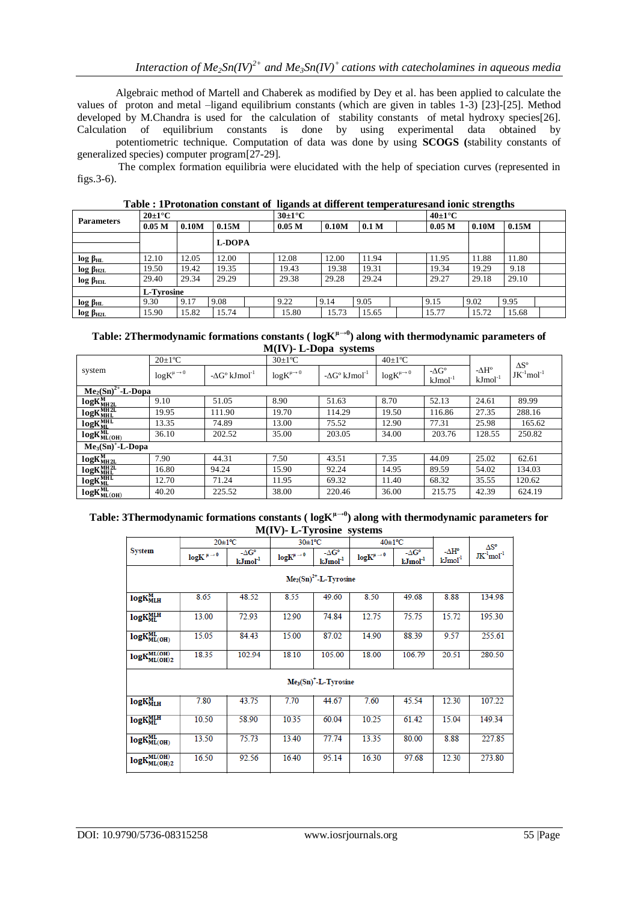Algebraic method of Martell and Chaberek as modified by Dey et al. has been applied to calculate the values of proton and metal –ligand equilibrium constants (which are given in tables 1-3) [23]-[25]. Method developed by M.Chandra is used for the calculation of stability constants of metal hydroxy species[26]. Calculation of equilibrium constants is done by using experimental data obtained by

potentiometric technique. Computation of data was done by using **SCOGS (**stability constants of generalized species) computer program[27-29].

The complex formation equilibria were elucidated with the help of speciation curves (represented in figs.3-6).

| <b>Parameters</b> | $20\pm1\degree C$ |       |        | $30\pm1\degree C$ |                   |       | $40\pm1\degree C$ |  |                   |       |       |  |
|-------------------|-------------------|-------|--------|-------------------|-------------------|-------|-------------------|--|-------------------|-------|-------|--|
|                   | 0.05 <sub>M</sub> | 0.10M | 0.15M  |                   | 0.05 <sub>M</sub> | 0.10M | 0.1 <sub>M</sub>  |  | 0.05 <sub>M</sub> | 0.10M | 0.15M |  |
|                   |                   |       | L-DOPA |                   |                   |       |                   |  |                   |       |       |  |
| $log \beta_{HL}$  | 12.10             | 12.05 | 12.00  |                   | 12.08             | 12.00 | 11.94             |  | 11.95             | 11.88 | 11.80 |  |
| $log \beta_{H2L}$ | 19.50             | 19.42 | 19.35  |                   | 19.43             | 19.38 | 19.31             |  | 19.34             | 19.29 | 9.18  |  |
| $log \beta_{H3L}$ | 29.40             | 29.34 | 29.29  |                   | 29.38             | 29.28 | 29.24             |  | 29.27             | 29.18 | 29.10 |  |
|                   | L-Tyrosine        |       |        |                   |                   |       |                   |  |                   |       |       |  |
| $log \beta_{HL}$  | 9.30              | 9.17  | 9.08   |                   | 9.22              | 9.14  | 9.05              |  | 9.15              | 9.02  | 9.95  |  |
| $log \beta_{H2L}$ | 15.90             | 15.82 | 15.74  |                   | 15.80             | 15.73 | 15.65             |  | 15.77             | 15.72 | 15.68 |  |

**Table : 1Protonation constant of ligands at different temperaturesand ionic strengths**

| Table: 2Thermodynamic formations constants ( $log K^{\mu \rightarrow 0}$ ) along with thermodynamic parameters of |
|-------------------------------------------------------------------------------------------------------------------|
| $M$ (IV)- L-Dopa systems                                                                                          |

|                       | $20\pm1$ <sup>o</sup> C    |                                         | $30\pm1\text{°C}$          |                                         | $40\pm1\textdegree C$      |                                     |                                      | $\Delta S^{\circ}$          |
|-----------------------|----------------------------|-----------------------------------------|----------------------------|-----------------------------------------|----------------------------|-------------------------------------|--------------------------------------|-----------------------------|
| system                | $log K^{\mu\rightarrow 0}$ | $-\Delta G^{\circ}$ kJmol <sup>-1</sup> | $log K^{\mu\rightarrow 0}$ | $-\Delta G^{\circ}$ kJmol <sup>-1</sup> | $log K^{\mu\rightarrow 0}$ | $-\Delta G^{\circ}$<br>$kJmol^{-1}$ | - $\Delta H^{\circ}$<br>$kJmol^{-1}$ | $JK^{-1}$ mol <sup>-1</sup> |
| $Me2(Sn)2+-L-Dopa$    |                            |                                         |                            |                                         |                            |                                     |                                      |                             |
| $log K_{MHz}^{M}$     | 9.10                       | 51.05                                   | 8.90                       | 51.63                                   | 8.70                       | 52.13                               | 24.61                                | 89.99                       |
| logK <sub>MHL</sub>   | 19.95                      | 111.90                                  | 19.70                      | 114.29                                  | 19.50                      | 116.86                              | 27.35                                | 288.16                      |
| $log K_{ML}^{MHL}$    | 13.35                      | 74.89                                   | 13.00                      | 75.52                                   | 12.90                      | 77.31                               | 25.98                                | 165.62                      |
| $log K_{ML(OH)}^{ML}$ | 36.10                      | 202.52                                  | 35.00                      | 203.05                                  | 34.00                      | 203.76                              | 128.55                               | 250.82                      |
| $Me3(Sn)+-L-Dopa$     |                            |                                         |                            |                                         |                            |                                     |                                      |                             |
| $log K_{MHz}^{M}$     | 7.90                       | 44.31                                   | 7.50                       | 43.51                                   | 7.35                       | 44.09                               | 25.02                                | 62.61                       |
| <b>logKMH2L</b>       | 16.80                      | 94.24                                   | 15.90                      | 92.24                                   | 14.95                      | 89.59                               | 54.02                                | 134.03                      |
| $log K_{ML}^{MHL}$    | 12.70                      | 71.24                                   | 11.95                      | 69.32                                   | 11.40                      | 68.32                               | 35.55                                | 120.62                      |
| $log K_{ML(OH)}^{ML}$ | 40.20                      | 225.52                                  | 38.00                      | 220.46                                  | 36.00                      | 215.75                              | 42.39                                | 624.19                      |

### **Table: 3Thermodynamic formations constants ( logKµ→0) along with thermodynamic parameters for M(IV)- L-Tyrosine systems**

| $20 \pm 1$ <sup>o</sup> C |                            | 30±1°C                                    |                           | $40 \pm 1$ <sup>o</sup> C        |                            |                                   | $\Delta S^{\circ}$ |                 |  |  |
|---------------------------|----------------------------|-------------------------------------------|---------------------------|----------------------------------|----------------------------|-----------------------------------|--------------------|-----------------|--|--|
| <b>System</b>             | $log K^{\mu\rightarrow 0}$ | $-\Delta G^{\circ}$<br>kJmol <sup>1</sup> | $logK^{\mu\rightarrow 0}$ | $-\Delta G^{\circ}$<br>$kJmol-1$ | $log K^{\mu\rightarrow 0}$ | $-\Delta G^{\circ}$<br>$kJ/mol-1$ | -∆H°<br>$kJmol-1$  | $JK-1$ mol $-1$ |  |  |
|                           | $Me2(Sn)2+-L-Tyrosine$     |                                           |                           |                                  |                            |                                   |                    |                 |  |  |
| $log K_{MLH}^{M}$         | 8.65                       | 48.52                                     | 8.55                      | 49.60                            | 8.50                       | 49.68                             | 8.88               | 134.98          |  |  |
| <b>logKMLH</b>            | 13.00                      | 72.93                                     | 12.90                     | 74.84                            | 12.75                      | 75.75                             | 15.72              | 195.30          |  |  |
| $logK_{ML(OH)}^{ML}$      | 15.05                      | 84.43                                     | 15.00                     | 87.02                            | 14.90                      | 88.39                             | 9.57               | 255.61          |  |  |
| $logK_{ML(OH)2}^{ML(OH)}$ | 18.35                      | 102.94                                    | 18.10                     | 105.00                           | 18.00                      | 106.79                            | 20.51              | 280.50          |  |  |
|                           |                            |                                           |                           | $Me3(Sn)+-L-Tyrosine$            |                            |                                   |                    |                 |  |  |
| $log K_{MLH}^{M}$         | 7.80                       | 43.75                                     | 7.70                      | 44.67                            | 7.60                       | 45.54                             | 12.30              | 107.22          |  |  |
| <b>logKMLH</b>            | 10.50                      | 58.90                                     | 10.35                     | 60.04                            | 10.25                      | 61.42                             | 15.04              | 149.34          |  |  |
| $logK_{ML(OH)}^{ML}$      | 13.50                      | 75.73                                     | 13.40                     | 77.74                            | 13.35                      | 80.00                             | 8.88               | 227.85          |  |  |
| $logK_{ML(OH)2}^{ML(OH)}$ | 16.50                      | 92.56                                     | 16.40                     | 95.14                            | 16.30                      | 97.68                             | 12.30              | 273.80          |  |  |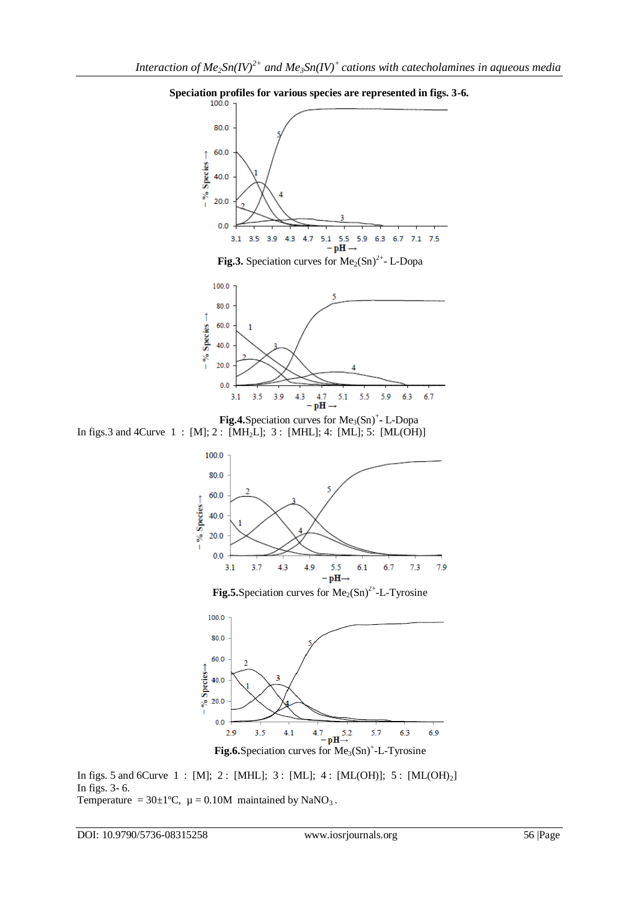





**Fig.5.** Speciation curves for  $Me<sub>2</sub>(Sn)<sup>2+</sup>$ -L-Tyrosine



In figs. 5 and 6Curve  $1 : [M]$ ;  $2 : [MHL]$ ;  $3 : [ML]$ ;  $4 : [ML(OH)]$ ;  $5 : [ML(OH)<sub>2</sub>]$ In figs. 3- 6. Temperature =  $30\pm1$ °C,  $\mu$  = 0.10M maintained by NaNO<sub>3</sub>.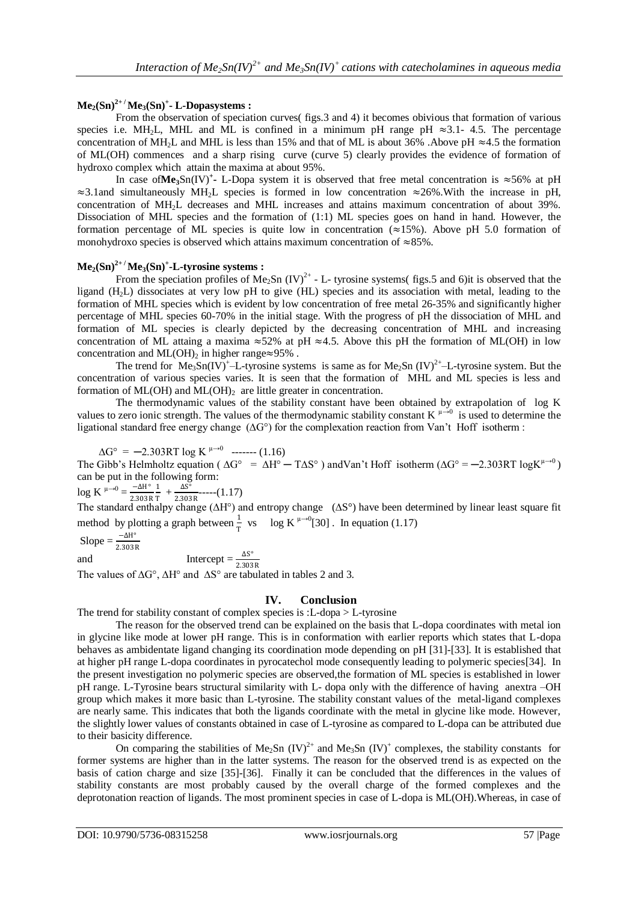# $\textbf{Me}_2(\textbf{Sn})^{2+} / \textbf{Me}_3(\textbf{Sn})^+$ **- L-Dopasystems :**

From the observation of speciation curves( figs.3 and 4) it becomes obivious that formation of various species i.e. MH<sub>2</sub>L, MHL and ML is confined in a minimum pH range pH  $\approx$ 3.1- 4.5. The percentage concentration of MH2L and MHL is less than 15% and that of ML is about 36% .Above pH ≈4.5 the formation of ML(OH) commences and a sharp rising curve (curve 5) clearly provides the evidence of formation of hydroxo complex which attain the maxima at about 95%.

In case of Me<sub>3</sub>Sn(IV)<sup>+</sup> L-Dopa system it is observed that free metal concentration is  $\approx$  56% at pH ≈3.1and simultaneously MH2L species is formed in low concentration ≈26%.With the increase in pH, concentration of MH2L decreases and MHL increases and attains maximum concentration of about 39%. Dissociation of MHL species and the formation of (1:1) ML species goes on hand in hand. However, the formation percentage of ML species is quite low in concentration ( $\approx$ 15%). Above pH 5.0 formation of monohydroxo species is observed which attains maximum concentration of ≈85%.

# **Me2(Sn)2+ / Me3(Sn)<sup>+</sup> -L-tyrosine systems :**

From the speciation profiles of Me<sub>2</sub>Sn  $(IV)^{2+}$  - L- tyrosine systems( figs.5 and 6)it is observed that the ligand (H2L) dissociates at very low pH to give (HL) species and its association with metal, leading to the formation of MHL species which is evident by low concentration of free metal 26-35% and significantly higher percentage of MHL species 60-70% in the initial stage. With the progress of pH the dissociation of MHL and formation of ML species is clearly depicted by the decreasing concentration of MHL and increasing concentration of ML attaing a maxima  $\approx$ 52% at pH  $\approx$ 4.5. Above this pH the formation of ML(OH) in low concentration and ML(OH)<sub>2</sub> in higher range≈95% .

The trend for  $Me_3Sn(IV)^+$ -L-tyrosine systems is same as for  $Me_2Sn$  (IV)<sup>2+</sup>-L-tyrosine system. But the concentration of various species varies. It is seen that the formation of MHL and ML species is less and formation of ML(OH) and ML(OH) $_2$  are little greater in concentration.

The thermodynamic values of the stability constant have been obtained by extrapolation of log K values to zero ionic strength. The values of the thermodynamic stability constant  $K^{\mu\to 0}$  is used to determine the ligational standard free energy change (∆G°) for the complexation reaction from Van't Hoff isotherm :

$$
\Delta G^{\circ} = -2.303RT \log K^{\mu \to 0} \quad \text{---} \quad (1.16)
$$

The Gibb's Helmholtz equation ( $\Delta G^{\circ} = \Delta H^{\circ} - T\Delta S^{\circ}$ ) andVan't Hoff isotherm ( $\Delta G^{\circ} = -2.303RT \log K^{\mu \to 0}$ ) can be put in the following form:

 $\log K^{\mu\rightarrow 0} = \frac{-\Delta H^{\circ}}{2.2021}$ 2.303R 1  $rac{1}{T}$  +  $rac{\Delta S^{\circ}}{2.303}$  $\frac{43}{2.303R}$ -----(1.17)

The standard enthalpy change ( $\Delta H^{\circ}$ ) and entropy change ( $\Delta S^{\circ}$ ) have been determined by linear least square fit method by plotting a graph between  $\frac{1}{T}$  vs log K<sup> $\mu\rightarrow 0$ </sup>[30]. In equation (1.17)

 $Slope = \frac{-\Delta H^{\circ}}{2.303R}$ 

and Intercept =  $\frac{\Delta S^{\circ}}{2.303R}$ 

The values of ∆G°, ∆H° and ∆S° are tabulated in tables 2 and 3.

## **IV. Conclusion**

The trend for stability constant of complex species is :L-dopa > L-tyrosine

The reason for the observed trend can be explained on the basis that L-dopa coordinates with metal ion in glycine like mode at lower pH range. This is in conformation with earlier reports which states that L-dopa behaves as ambidentate ligand changing its coordination mode depending on pH [31]-[33]. It is established that at higher pH range L-dopa coordinates in pyrocatechol mode consequently leading to polymeric species[34]. In the present investigation no polymeric species are observed,the formation of ML species is established in lower pH range. L-Tyrosine bears structural similarity with L- dopa only with the difference of having anextra –OH group which makes it more basic than L-tyrosine. The stability constant values of the metal-ligand complexes are nearly same. This indicates that both the ligands coordinate with the metal in glycine like mode. However, the slightly lower values of constants obtained in case of L-tyrosine as compared to L-dopa can be attributed due to their basicity difference.

On comparing the stabilities of Me<sub>2</sub>Sn  $(IV)^{2+}$  and Me<sub>3</sub>Sn  $(IV)^{+}$  complexes, the stability constants for former systems are higher than in the latter systems. The reason for the observed trend is as expected on the basis of cation charge and size [35]-[36]. Finally it can be concluded that the differences in the values of stability constants are most probably caused by the overall charge of the formed complexes and the deprotonation reaction of ligands. The most prominent species in case of L-dopa is ML(OH).Whereas, in case of